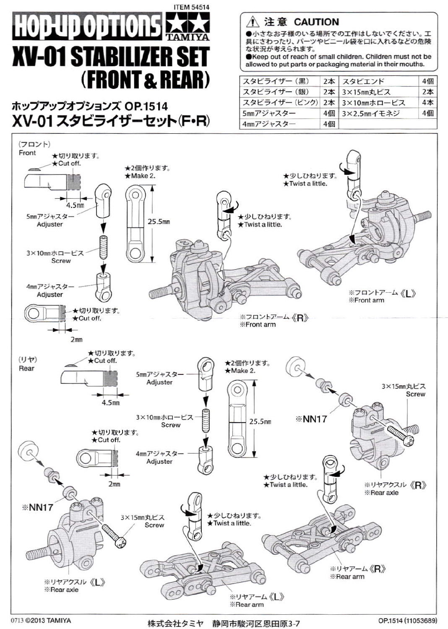

ホップアップオプションズ OP.1514 XV-01 スタビライザーセット(F・R) ∧ 注意 CAUTION

●小さなお子様のいる場所での工作はしないでください。工 具にさわったり、パーツやビニール袋を口に入れるなどの危険 な状況が老えられます。

CKeep out of reach of small children. Children must not be allowed to put parts or packaging material in their mouths.

| スタビライザー (黒)                  |    | 2本 スタビエンド      | 4個     |
|------------------------------|----|----------------|--------|
| スタビライザー (銀)                  |    | 2本 3×15mm丸ビス   | $2*$   |
| スタビライザー (ピンク) 2本 3×10mmホロービス |    |                | $4\pi$ |
| 5mmアジャスター                    |    | 4個 3×2.5mmイモネジ | 4個     |
| 4mmアジャスター                    | 4個 |                |        |